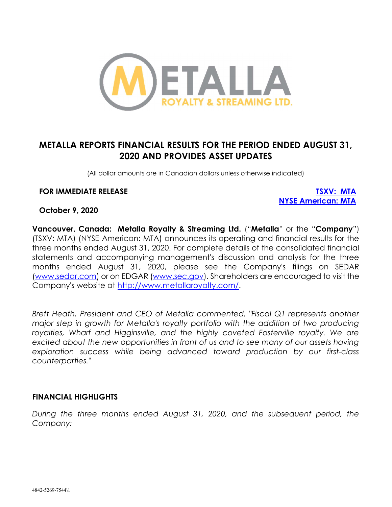

# METALLA REPORTS FINANCIAL RESULTS FOR THE PERIOD ENDED AUGUST 31, 2020 AND PROVIDES ASSET UPDATES

(All dollar amounts are in Canadian dollars unless otherwise indicated)

#### FOR IMMEDIATE RELEASE TO THE SECOND SERVER TO THE TOTAL TO THE TOTAL TO THE TOTAL TO THE TOTAL TO THE TOTAL TO

NYSE American: MTA

#### October 9, 2020

Vancouver, Canada: Metalla Royalty & Streaming Ltd. ("Metalla" or the "Company") (TSXV: MTA) (NYSE American: MTA) announces its operating and financial results for the three months ended August 31, 2020. For complete details of the consolidated financial statements and accompanying management's discussion and analysis for the three months ended August 31, 2020, please see the Company's filings on SEDAR (www.sedar.com) or on EDGAR (www.sec.gov). Shareholders are encouraged to visit the Company's website at http://www.metallaroyalty.com/.

Brett Heath, President and CEO of Metalla commented, "Fiscal Q1 represents another major step in growth for Metalla's royalty portfolio with the addition of two producing royalties, Wharf and Higginsville, and the highly coveted Fosterville royalty. We are excited about the new opportunities in front of us and to see many of our assets having exploration success while being advanced toward production by our first-class counterparties."

#### FINANCIAL HIGHLIGHTS

During the three months ended August 31, 2020, and the subsequent period, the Company: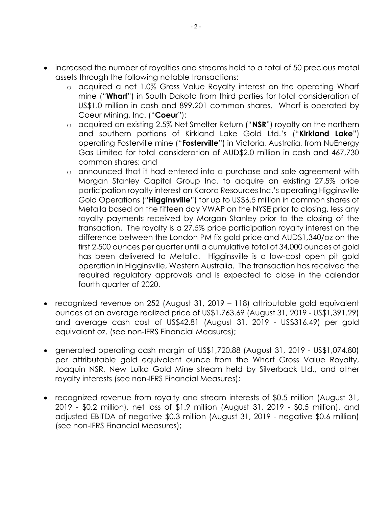- increased the number of royalties and streams held to a total of 50 precious metal assets through the following notable transactions:
	- o acquired a net 1.0% Gross Value Royalty interest on the operating Wharf mine ("Wharf") in South Dakota from third parties for total consideration of US\$1.0 million in cash and 899,201 common shares. Wharf is operated by Coeur Mining, Inc. ("Coeur");
	- $\circ$  acquired an existing 2.5% Net Smelter Return ("NSR") royalty on the northern and southern portions of Kirkland Lake Gold Ltd.'s ("Kirkland Lake") operating Fosterville mine ("**Fosterville**") in Victoria, Australia, from NuEnergy Gas Limited for total consideration of AUD\$2.0 million in cash and 467,730 common shares; and
	- o announced that it had entered into a purchase and sale agreement with Morgan Stanley Capital Group Inc. to acquire an existing 27.5% price participation royalty interest on Karora Resources Inc.'s operating Higginsville Gold Operations ("Higginsville") for up to US\$6.5 million in common shares of Metalla based on the fifteen day VWAP on the NYSE prior to closing, less any royalty payments received by Morgan Stanley prior to the closing of the transaction. The royalty is a 27.5% price participation royalty interest on the difference between the London PM fix gold price and AUD\$1,340/oz on the first 2,500 ounces per quarter until a cumulative total of 34,000 ounces of gold has been delivered to Metalla. Higginsville is a low-cost open pit gold operation in Higginsville, Western Australia. The transaction has received the required regulatory approvals and is expected to close in the calendar fourth quarter of 2020.
- recognized revenue on 252 (August 31, 2019 118) attributable gold equivalent ounces at an average realized price of US\$1,763.69 (August 31, 2019 - US\$1,391.29) and average cash cost of US\$42.81 (August 31, 2019 - US\$316.49) per gold equivalent oz. (see non-IFRS Financial Measures);
- generated operating cash margin of US\$1,720.88 (August 31, 2019 US\$1,074.80) per attributable gold equivalent ounce from the Wharf Gross Value Royalty, Joaquin NSR, New Luika Gold Mine stream held by Silverback Ltd., and other royalty interests (see non-IFRS Financial Measures);
- recognized revenue from royalty and stream interests of \$0.5 million (August 31, 2019 - \$0.2 million), net loss of \$1.9 million (August 31, 2019 - \$0.5 million), and adjusted EBITDA of negative \$0.3 million (August 31, 2019 - negative \$0.6 million) (see non-IFRS Financial Measures);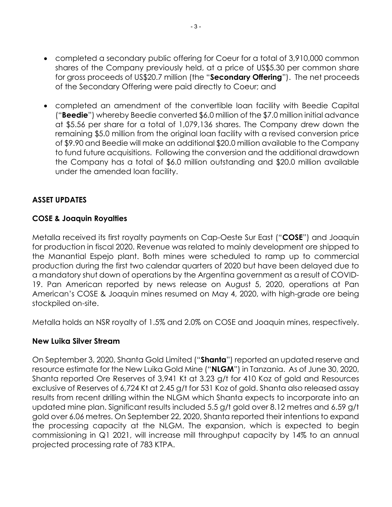- completed a secondary public offering for Coeur for a total of 3,910,000 common shares of the Company previously held, at a price of US\$5.30 per common share for gross proceeds of US\$20.7 million (the "Secondary Offering"). The net proceeds of the Secondary Offering were paid directly to Coeur; and
- completed an amendment of the convertible loan facility with Beedie Capital ("Beedie") whereby Beedie converted \$6.0 million of the \$7.0 million initial advance at \$5.56 per share for a total of 1,079,136 shares. The Company drew down the remaining \$5.0 million from the original loan facility with a revised conversion price of \$9.90 and Beedie will make an additional \$20.0 million available to the Company to fund future acquisitions. Following the conversion and the additional drawdown the Company has a total of \$6.0 million outstanding and \$20.0 million available under the amended loan facility.

# ASSET UPDATES

# COSE & Joaquin Royalties

Metalla received its first royalty payments on Cap-Oeste Sur East ("**COSE**") and Joaquin for production in fiscal 2020. Revenue was related to mainly development ore shipped to the Manantial Espejo plant. Both mines were scheduled to ramp up to commercial production during the first two calendar quarters of 2020 but have been delayed due to a mandatory shut down of operations by the Argentina government as a result of COVID-19. Pan American reported by news release on August 5, 2020, operations at Pan American's COSE & Joaquin mines resumed on May 4, 2020, with high-grade ore being stockpiled on-site.

Metalla holds an NSR royalty of 1.5% and 2.0% on COSE and Joaquin mines, respectively.

#### New Luika Silver Stream

On September 3, 2020, Shanta Gold Limited ("Shanta") reported an updated reserve and resource estimate for the New Luika Gold Mine ("NLGM") in Tanzania. As of June 30, 2020, Shanta reported Ore Reserves of 3,941 Kt at 3.23 g/t for 410 Koz of gold and Resources exclusive of Reserves of 6,724 Kt at 2.45 g/t for 531 Koz of gold. Shanta also released assay results from recent drilling within the NLGM which Shanta expects to incorporate into an updated mine plan. Significant results included 5.5 g/t gold over 8.12 metres and 6.59 g/t gold over 6.06 metres. On September 22, 2020, Shanta reported their intentions to expand the processing capacity at the NLGM. The expansion, which is expected to begin commissioning in Q1 2021, will increase mill throughput capacity by 14% to an annual projected processing rate of 783 KTPA.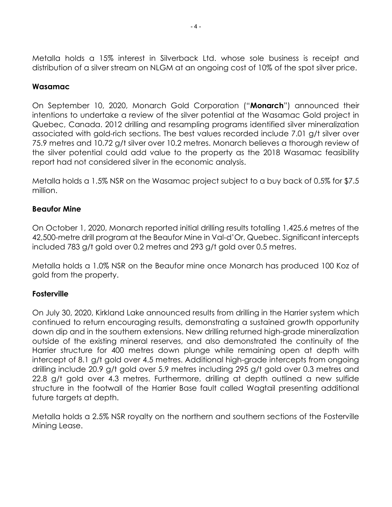Metalla holds a 15% interest in Silverback Ltd. whose sole business is receipt and distribution of a silver stream on NLGM at an ongoing cost of 10% of the spot silver price.

# Wasamac

On September 10, 2020, Monarch Gold Corporation ("Monarch") announced their intentions to undertake a review of the silver potential at the Wasamac Gold project in Quebec, Canada. 2012 drilling and resampling programs identified silver mineralization associated with gold-rich sections. The best values recorded include 7.01 g/t silver over 75.9 metres and 10.72 g/t silver over 10.2 metres. Monarch believes a thorough review of the silver potential could add value to the property as the 2018 Wasamac feasibility report had not considered silver in the economic analysis.

Metalla holds a 1.5% NSR on the Wasamac project subject to a buy back of 0.5% for \$7.5 million.

# Beaufor Mine

On October 1, 2020, Monarch reported initial drilling results totalling 1,425.6 metres of the 42,500-metre drill program at the Beaufor Mine in Val-d'Or, Quebec. Significant intercepts included 783 g/t gold over 0.2 metres and 293 g/t gold over 0.5 metres.

Metalla holds a 1.0% NSR on the Beaufor mine once Monarch has produced 100 Koz of gold from the property.

# **Fosterville**

On July 30, 2020, Kirkland Lake announced results from drilling in the Harrier system which continued to return encouraging results, demonstrating a sustained growth opportunity down dip and in the southern extensions. New drilling returned high-grade mineralization outside of the existing mineral reserves, and also demonstrated the continuity of the Harrier structure for 400 metres down plunge while remaining open at depth with intercept of 8.1 g/t gold over 4.5 metres. Additional high-grade intercepts from ongoing drilling include 20.9 g/t gold over 5.9 metres including 295 g/t gold over 0.3 metres and 22.8 g/t gold over 4.3 metres. Furthermore, drilling at depth outlined a new sulfide structure in the footwall of the Harrier Base fault called Wagtail presenting additional future targets at depth.

Metalla holds a 2.5% NSR royalty on the northern and southern sections of the Fosterville Mining Lease.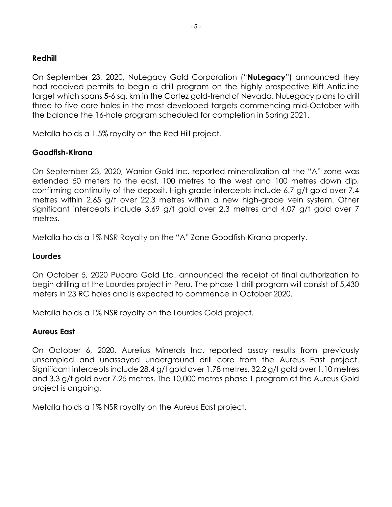#### Redhill

On September 23, 2020, NuLegacy Gold Corporation ("**NuLegacy**") announced they had received permits to begin a drill program on the highly prospective Rift Anticline target which spans 5-6 sq. km in the Cortez gold-trend of Nevada. NuLegacy plans to drill three to five core holes in the most developed targets commencing mid-October with the balance the 16-hole program scheduled for completion in Spring 2021.

Metalla holds a 1.5% royalty on the Red Hill project.

# Goodfish-Kirana

On September 23, 2020, Warrior Gold Inc. reported mineralization at the "A" zone was extended 50 meters to the east, 100 metres to the west and 100 metres down dip, confirming continuity of the deposit. High grade intercepts include 6.7 g/t gold over 7.4 metres within 2.65 g/t over 22.3 metres within a new high-grade vein system. Other significant intercepts include 3.69 g/t gold over 2.3 metres and 4.07 g/t gold over 7 metres.

Metalla holds a 1% NSR Royalty on the "A" Zone Goodfish-Kirana property.

#### Lourdes

On October 5, 2020 Pucara Gold Ltd. announced the receipt of final authorization to begin drilling at the Lourdes project in Peru. The phase 1 drill program will consist of 5,430 meters in 23 RC holes and is expected to commence in October 2020.

Metalla holds a 1% NSR royalty on the Lourdes Gold project.

# Aureus East

On October 6, 2020, Aurelius Minerals Inc. reported assay results from previously unsampled and unassayed underground drill core from the Aureus East project. Significant intercepts include 28.4 g/t gold over 1.78 metres, 32.2 g/t gold over 1.10 metres and 3.3 g/t gold over 7.25 metres. The 10,000 metres phase 1 program at the Aureus Gold project is ongoing.

Metalla holds a 1% NSR royalty on the Aureus East project.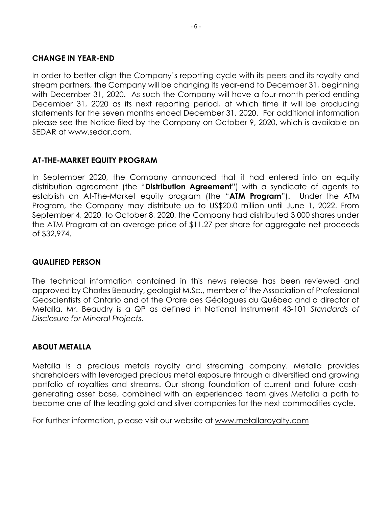#### CHANGE IN YEAR-END

In order to better align the Company's reporting cycle with its peers and its royalty and stream partners, the Company will be changing its year-end to December 31, beginning with December 31, 2020. As such the Company will have a four-month period ending December 31, 2020 as its next reporting period, at which time it will be producing statements for the seven months ended December 31, 2020. For additional information please see the Notice filed by the Company on October 9, 2020, which is available on SEDAR at www.sedar.com.

# AT-THE-MARKET EQUITY PROGRAM

In September 2020, the Company announced that it had entered into an equity distribution agreement (the "**Distribution Agreement**") with a syndicate of agents to establish an At-The-Market equity program (the "ATM Program"). Under the ATM Program, the Company may distribute up to US\$20.0 million until June 1, 2022. From September 4, 2020, to October 8, 2020, the Company had distributed 3,000 shares under the ATM Program at an average price of \$11.27 per share for aggregate net proceeds of \$32,974.

# QUALIFIED PERSON

The technical information contained in this news release has been reviewed and approved by Charles Beaudry, geologist M.Sc., member of the Association of Professional Geoscientists of Ontario and of the Ordre des Géologues du Québec and a director of Metalla. Mr. Beaudry is a QP as defined in National Instrument 43-101 Standards of Disclosure for Mineral Projects.

# ABOUT METALLA

Metalla is a precious metals royalty and streaming company. Metalla provides shareholders with leveraged precious metal exposure through a diversified and growing portfolio of royalties and streams. Our strong foundation of current and future cashgenerating asset base, combined with an experienced team gives Metalla a path to become one of the leading gold and silver companies for the next commodities cycle.

For further information, please visit our website at www.metallaroyalty.com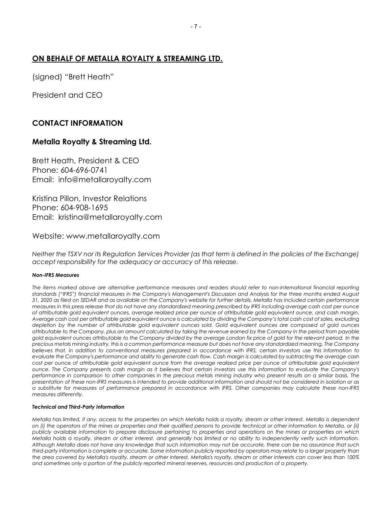#### ON BEHALF OF METALLA ROYALTY & STREAMING LTD.

(signed) "Brett Heath"

President and CEO

# CONTACT INFORMATION

### Metalla Royalty & Streaming Ltd.

Brett Heath, President & CEO Phone: 604-696-0741 Email: info@metallaroyalty.com

Kristina Pillon, Investor Relations Phone: 604-908-1695 Email: kristina@metallaroyalty.com

Website: www.metallaroyalty.com

Neither the TSXV nor its Regulation Services Provider (as that term is defined in the policies of the Exchange) accept responsibility for the adequacy or accuracy of this release.

#### Non-IFRS Measures

The items marked above are alternative performance measures and readers should refer to non-international financial reporting standards ("IFRS") financial measures in the Company's Management's Discussion and Analysis for the three months ended August 31, 2020 as filed on SEDAR and as available on the Company's website for further details. Metalla has included certain performance measures in this press release that do not have any standardized meaning prescribed by IFRS including average cash cost per ounce of attributable gold equivalent ounces, average realized price per ounce of attributable gold equivalent ounce, and cash margin. Average cash cost per attributable gold equivalent ounce is calculated by dividing the Company's total cash cost of sales, excluding depletion by the number of attributable gold equivalent ounces sold. Gold equivalent ounces are composed of gold ounces attributable to the Company, plus an amount calculated by taking the revenue earned by the Company in the period from payable gold equivalent ounces attributable to the Company divided by the average London fix price of gold for the relevant period. In the precious metals mining industry, this is a common performance measure but does not have any standardized meaning. The Company believes that, in addition to conventional measures prepared in accordance with IFRS, certain investors use this information to evaluate the Company's performance and ability to generate cash flow. Cash margin is calculated by subtracting the average cash cost per ounce of attributable gold equivalent ounce from the average realized price per ounce of attributable gold equivalent ounce. The Company presents cash margin as it believes that certain investors use this information to evaluate the Company's performance in comparison to other companies in the precious metals mining industry who present results on a similar basis. The presentation of these non-IFRS measures is intended to provide additional information and should not be considered in isolation or as a substitute for measures of performance prepared in accordance with IFRS. Other companies may calculate these non-IFRS measures differently.

#### Technical and Third-Party Information

Metalla has limited, if any, access to the properties on which Metalla holds a royalty, stream or other interest. Metalla is dependent on (i) the operators of the mines or properties and their qualified persons to provide technical or other information to Metalla, or (ii) publicly available information to prepare disclosure pertaining to properties and operations on the mines or properties on which Metalla holds a royalty, stream or other interest, and generally has limited or no ability to independently verify such information. Although Metalla does not have any knowledge that such information may not be accurate, there can be no assurance that such third-party information is complete or accurate. Some information publicly reported by operators may relate to a larger property than the area covered by Metalla's royalty, stream or other interest. Metalla's royalty, stream or other interests can cover less than 100% and sometimes only a portion of the publicly reported mineral reserves, resources and production of a property.